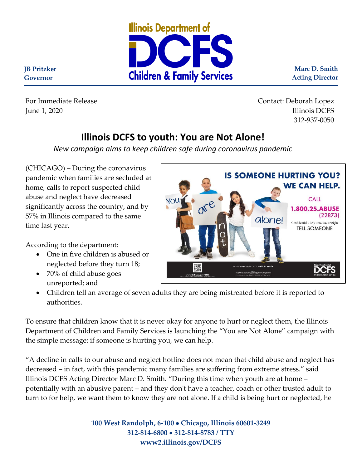

**Marc D. Smith Acting Director**

**WE CAN HELP.** 

**CALL** 1.800.25.ABUSE

Confidential • Any time, day or night **TELL SOMEONE** 

 $(22873)$ 

**JB Pritzker Governor**

For Immediate Release Contact: Deborah Lopez June 1, 2020 Illinois DCFS 312-937-0050

**IS SOMEONE HURTING YOU?** 

alone!

## **Illinois DCFS to youth: You are Not Alone!**

*New campaign aims to keep children safe during coronavirus pandemic* 

YOU

(CHICAGO) – During the coronavirus pandemic when families are secluded at home, calls to report suspected child abuse and neglect have decreased significantly across the country, and by 57% in Illinois compared to the same time last year.

According to the department:

- One in five children is abused or neglected before they turn 18;
- 70% of child abuse goes unreported; and

authorities.

DCFS • Children tell an average of seven adults they are being mistreated before it is reported to

To ensure that children know that it is never okay for anyone to hurt or neglect them, the Illinois Department of Children and Family Services is launching the "You are Not Alone" campaign with the simple message: if someone is hurting you, we can help.

"A decline in calls to our abuse and neglect hotline does not mean that child abuse and neglect has decreased – in fact, with this pandemic many families are suffering from extreme stress." said Illinois DCFS Acting Director Marc D. Smith. "During this time when youth are at home – potentially with an abusive parent – and they don't have a teacher, coach or other trusted adult to turn to for help, we want them to know they are not alone. If a child is being hurt or neglected, he

> **100 West Randolph, 6-100** • **Chicago, Illinois 60601-3249 312-814-6800** • **312-814-8783 / TTY www2.illinois.gov/DCFS**